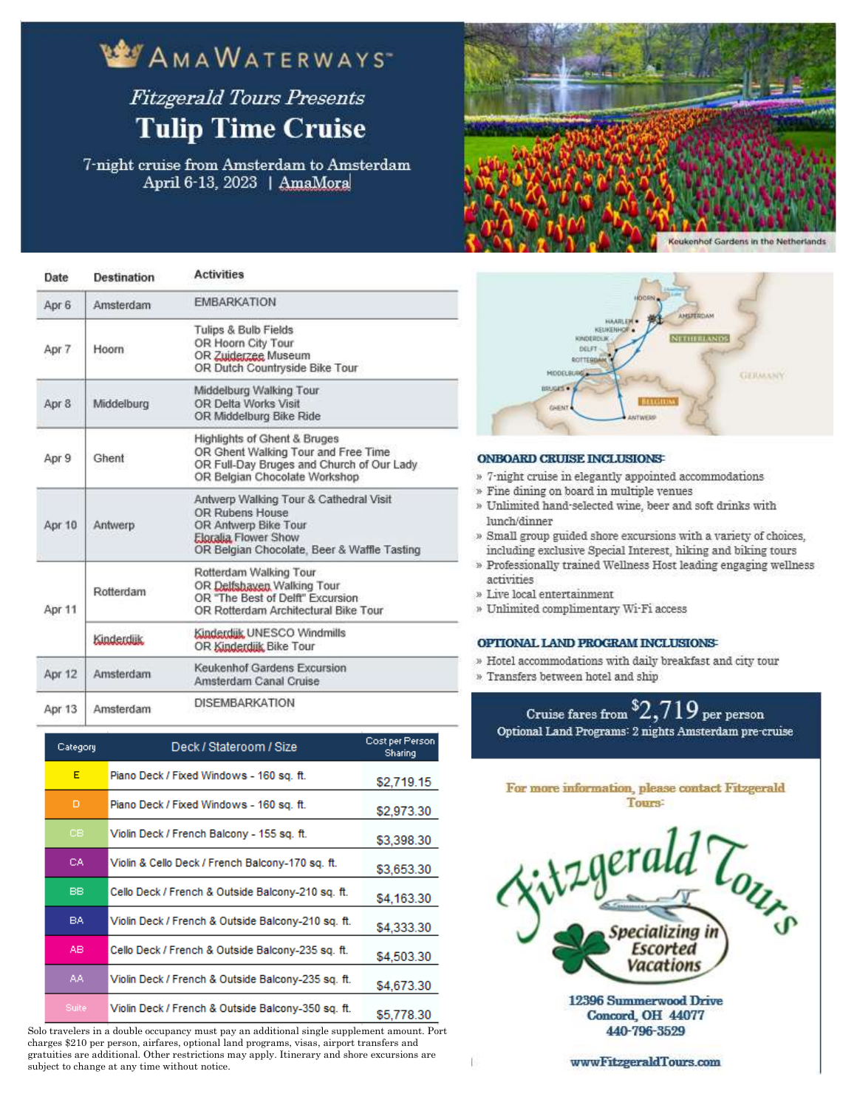### **BY AMAWATERWAYS Fitzgerald Tours Presents**

# **Tulip Time Cruise**

7-night cruise from Amsterdam to Amsterdam April 6-13, 2023 | AmaMora



| Date   | <b>Destination</b> | <b>Activities</b>                                                                                                                                        |
|--------|--------------------|----------------------------------------------------------------------------------------------------------------------------------------------------------|
| Apr 6  | Amsterdam          | <b>EMBARKATION</b>                                                                                                                                       |
| Apr 7  | Hoorn              | Tulips & Bulb Fields<br>OR Hoorn City Tour<br>OR Zuiderzee Museum<br>OR Dutch Countryside Bike Tour                                                      |
| Apr 8  | Middelburg         | Middelburg Walking Tour<br>OR Delta Works Visit<br>OR Middelburg Bike Ride                                                                               |
| Apr 9  | Ghent              | Highlights of Ghent & Bruges<br>OR Ghent Walking Tour and Free Time<br>OR Full-Day Bruges and Church of Our Lady<br>OR Belgian Chocolate Workshop        |
| Apr 10 | Antwerp            | Antwerp Walking Tour & Cathedral Visit<br>OR Rubens House<br>OR Antwerp Bike Tour<br>Eloralia Flower Show<br>OR Belgian Chocolate, Beer & Waffle Tasting |
| Apr 11 | Rotterdam          | Rotterdam Walking Tour<br>OR Delfsbayen Walking Tour<br>OR "The Best of Delft" Excursion<br>OR Rotterdam Architectural Bike Tour                         |
|        | Kinderdijk         | Kinderdijk UNESCO Windmills<br>OR Kinderdijk Bike Tour                                                                                                   |
| Apr 12 | Amsterdam          | Keukenhof Gardens Excursion<br>Amsterdam Canal Cruise                                                                                                    |
|        |                    | NICCMBADWATION                                                                                                                                           |

DISEMBARKATION Amsterdam Apr 13

| Category     | Deck / Stateroom / Size                            | Cost per Person<br><b>Sharing</b> |
|--------------|----------------------------------------------------|-----------------------------------|
| E            | Piano Deck / Fixed Windows - 160 sq. ft.           | \$2.719.15                        |
| D            | Piano Deck / Fixed Windows - 160 sq. ft.           | \$2,973.30                        |
| cв           | Violin Deck / French Balcony - 155 sq. ft.         | \$3,398.30                        |
| CA.          | Violin & Cello Deck / French Balcony-170 sq. ft.   | \$3,653.30                        |
| BB.          | Cello Deck / French & Outside Balcony-210 sq. ft.  | \$4,163.30                        |
| BA.          | Violin Deck / French & Outside Balcony-210 sq. ft. | \$4.333.30                        |
| AB.          | Cello Deck / French & Outside Balcony-235 sq. ft.  | \$4,503.30                        |
| AA.          | Violin Deck / French & Outside Balcony-235 sq. ft. | \$4,673.30                        |
| <b>Suite</b> | Violin Deck / French & Outside Balcony-350 sq. ft. | \$5 778 30                        |

Solo travelers in a double occupancy must pay an additional single supplement amount. Port charges \$210 per person, airfares, optional land programs, visas, airport transfers and gratuities are additional. Other restrictions may apply. Itinerary and shore excursions are subject to change at any time without notice.



#### **ONBOARD CRUISE INCLUSIONS:**

- » 7-night cruise in elegantly appointed accommodations
- » Fine dining on board in multiple venues
- » Unlimited hand-selected wine, beer and soft drinks with lunch/dinner
- » Small group guided shore excursions with a variety of choices. including exclusive Special Interest, hiking and biking tours
- » Professionally trained Wellness Host leading engaging wellness activities
- » Live local entertainment

Ė

» Unlimited complimentary Wi-Fi access

#### OPTIONAL LAND PROGRAM INCLUSIONS

- » Hotel accommodations with daily breakfast and city tour
- » Transfers between hotel and ship





wwwFitzgeraldTours.com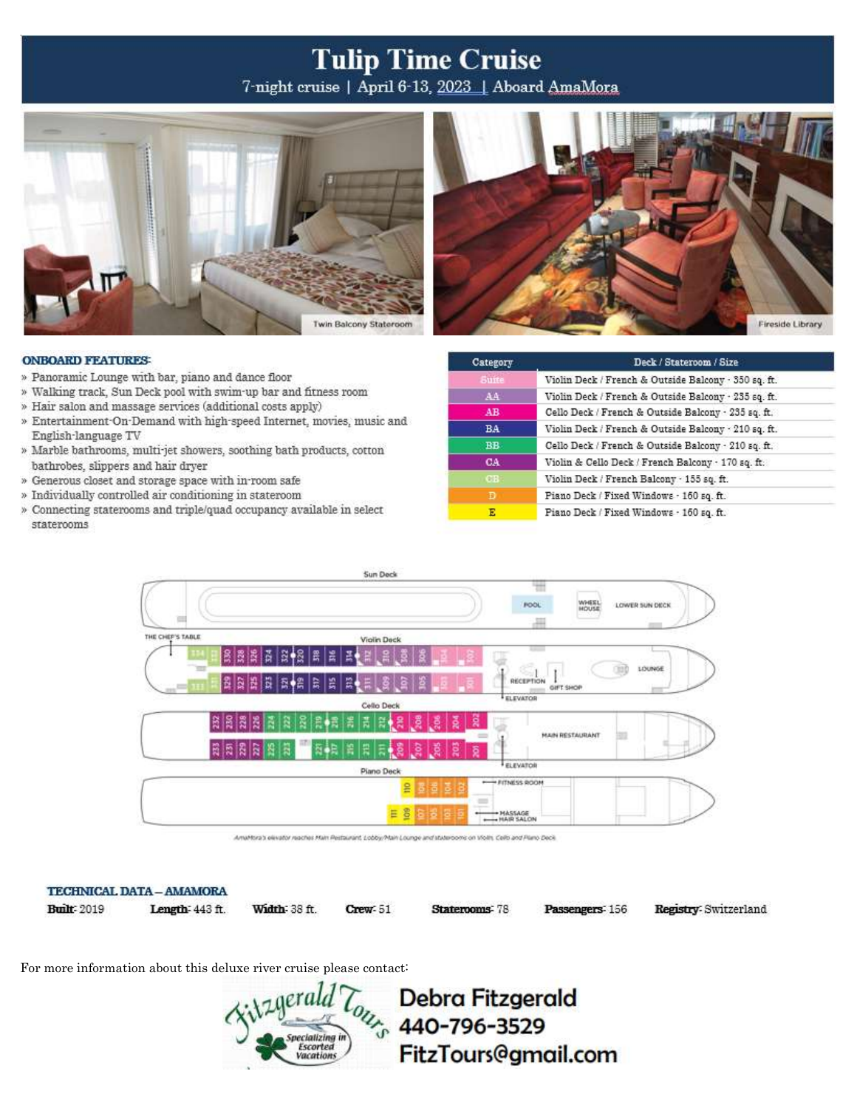## **Tulip Time Cruise**

7-night cruise | April 6-13, 2023 | Aboard AmaMora



#### **ONBOARD FEATURES:**

- » Panoramic Lounge with bar, piano and dance floor
- » Walking track, Sun Deck pool with swim-up bar and fitness room
- » Hair salon and massage services (additional costs apply)
- » Entertainment On Demand with high-speed Internet, movies, music and English-language TV
- » Marble bathrooms, multi-jet showers, soothing bath products, cotton bathrobes, slippers and hair dryer
- » Generous closet and storage space with in-room safe
- » Individually controlled air conditioning in stateroom
- » Connecting staterooms and triple/quad occupancy available in select staterooms

| Category     | Deck / Stateroom / Size                              |
|--------------|------------------------------------------------------|
| <b>Suite</b> | Violin Deck / French & Outside Balcony - 350 sq. ft. |
| AA           | Violin Deck / French & Outside Balcony - 235 sq. ft. |
| AB           | Cello Deck / French & Outside Balcony · 235 sq. ft.  |
| <b>BA</b>    | Violin Deck / French & Outside Balcony - 210 sq. ft. |
| <b>BB</b>    | Cello Deck / French & Outside Balcony - 210 sq. ft.  |
| CA           | Violin & Cello Deck / French Balcony . 170 sq. ft.   |
| <b>CB</b>    | Violin Deck / French Balcony - 155 sq. ft.           |
|              | Piano Deck / Fixed Windows - 160 sq. ft.             |
| Ε            | Piano Deck / Fixed Windows - 160 sq. ft.             |



Amahtsra's elevator reaches Main Restaurant, Lobby/Main Lounge and staterooms on Violin, Cello and Rano Deck.

Crew: 51

### TECHNICAL DATA - AMAMORA

**Built: 2019** 

Length: 443 ft.

Width 38 ft.

Staterooms: 78

Passengers<sup>:</sup> 156

Registry: Switzerland

For more information about this deluxe river cruise please contact:



**Debra Fitzgerald**  $\frac{L_{0}}{L_{0}}$  440-796-3529 FitzTours@gmail.com